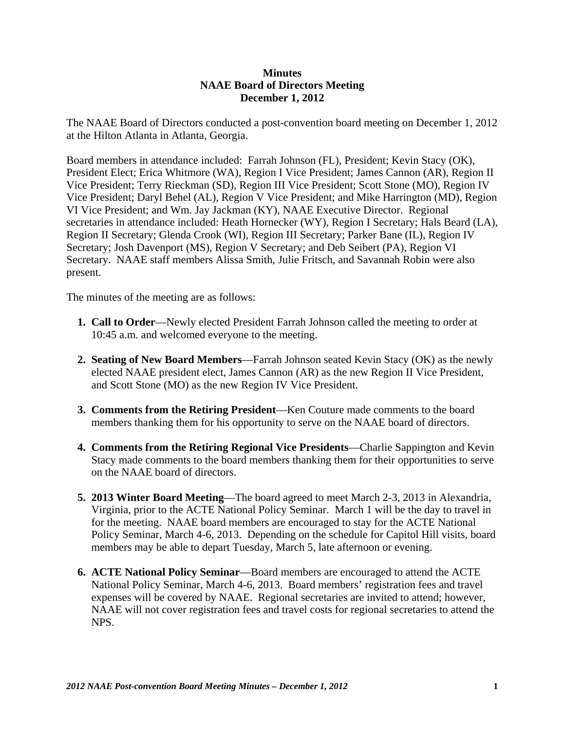## **Minutes NAAE Board of Directors Meeting December 1, 2012**

The NAAE Board of Directors conducted a post-convention board meeting on December 1, 2012 at the Hilton Atlanta in Atlanta, Georgia.

Board members in attendance included: Farrah Johnson (FL), President; Kevin Stacy (OK), President Elect; Erica Whitmore (WA), Region I Vice President; James Cannon (AR), Region II Vice President; Terry Rieckman (SD), Region III Vice President; Scott Stone (MO), Region IV Vice President; Daryl Behel (AL), Region V Vice President; and Mike Harrington (MD), Region VI Vice President; and Wm. Jay Jackman (KY), NAAE Executive Director. Regional secretaries in attendance included: Heath Hornecker (WY), Region I Secretary; Hals Beard (LA), Region II Secretary; Glenda Crook (WI), Region III Secretary; Parker Bane (IL), Region IV Secretary; Josh Davenport (MS), Region V Secretary; and Deb Seibert (PA), Region VI Secretary. NAAE staff members Alissa Smith, Julie Fritsch, and Savannah Robin were also present.

The minutes of the meeting are as follows:

- **1. Call to Order**—Newly elected President Farrah Johnson called the meeting to order at 10:45 a.m. and welcomed everyone to the meeting.
- **2. Seating of New Board Members**—Farrah Johnson seated Kevin Stacy (OK) as the newly elected NAAE president elect, James Cannon (AR) as the new Region II Vice President, and Scott Stone (MO) as the new Region IV Vice President.
- **3. Comments from the Retiring President**—Ken Couture made comments to the board members thanking them for his opportunity to serve on the NAAE board of directors.
- **4. Comments from the Retiring Regional Vice Presidents**—Charlie Sappington and Kevin Stacy made comments to the board members thanking them for their opportunities to serve on the NAAE board of directors.
- **5. 2013 Winter Board Meeting**—The board agreed to meet March 2-3, 2013 in Alexandria, Virginia, prior to the ACTE National Policy Seminar. March 1 will be the day to travel in for the meeting. NAAE board members are encouraged to stay for the ACTE National Policy Seminar, March 4-6, 2013. Depending on the schedule for Capitol Hill visits, board members may be able to depart Tuesday, March 5, late afternoon or evening.
- **6. ACTE National Policy Seminar**—Board members are encouraged to attend the ACTE National Policy Seminar, March 4-6, 2013. Board members' registration fees and travel expenses will be covered by NAAE. Regional secretaries are invited to attend; however, NAAE will not cover registration fees and travel costs for regional secretaries to attend the NPS.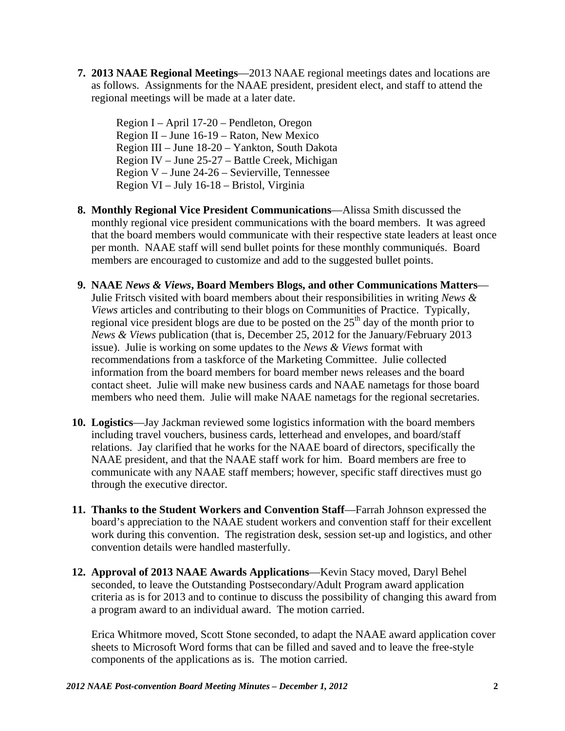**7. 2013 NAAE Regional Meetings**—2013 NAAE regional meetings dates and locations are as follows. Assignments for the NAAE president, president elect, and staff to attend the regional meetings will be made at a later date.

Region I – April 17-20 – Pendleton, Oregon Region II – June 16-19 – Raton, New Mexico Region III – June 18-20 – Yankton, South Dakota Region IV – June 25-27 – Battle Creek, Michigan Region V – June 24-26 – Sevierville, Tennessee Region VI – July 16-18 – Bristol, Virginia

- **8. Monthly Regional Vice President Communications**—Alissa Smith discussed the monthly regional vice president communications with the board members. It was agreed that the board members would communicate with their respective state leaders at least once per month. NAAE staff will send bullet points for these monthly communiqués. Board members are encouraged to customize and add to the suggested bullet points.
- **9. NAAE** *News & Views***, Board Members Blogs, and other Communications Matters** Julie Fritsch visited with board members about their responsibilities in writing *News & Views* articles and contributing to their blogs on Communities of Practice. Typically, regional vice president blogs are due to be posted on the  $25<sup>th</sup>$  day of the month prior to *News & Views* publication (that is, December 25, 2012 for the January/February 2013 issue). Julie is working on some updates to the *News & Views* format with recommendations from a taskforce of the Marketing Committee. Julie collected information from the board members for board member news releases and the board contact sheet. Julie will make new business cards and NAAE nametags for those board members who need them. Julie will make NAAE nametags for the regional secretaries.
- **10. Logistics**—Jay Jackman reviewed some logistics information with the board members including travel vouchers, business cards, letterhead and envelopes, and board/staff relations. Jay clarified that he works for the NAAE board of directors, specifically the NAAE president, and that the NAAE staff work for him. Board members are free to communicate with any NAAE staff members; however, specific staff directives must go through the executive director.
- **11. Thanks to the Student Workers and Convention Staff**—Farrah Johnson expressed the board's appreciation to the NAAE student workers and convention staff for their excellent work during this convention. The registration desk, session set-up and logistics, and other convention details were handled masterfully.
- **12. Approval of 2013 NAAE Awards Applications**—Kevin Stacy moved, Daryl Behel seconded, to leave the Outstanding Postsecondary/Adult Program award application criteria as is for 2013 and to continue to discuss the possibility of changing this award from a program award to an individual award. The motion carried.

Erica Whitmore moved, Scott Stone seconded, to adapt the NAAE award application cover sheets to Microsoft Word forms that can be filled and saved and to leave the free-style components of the applications as is. The motion carried.